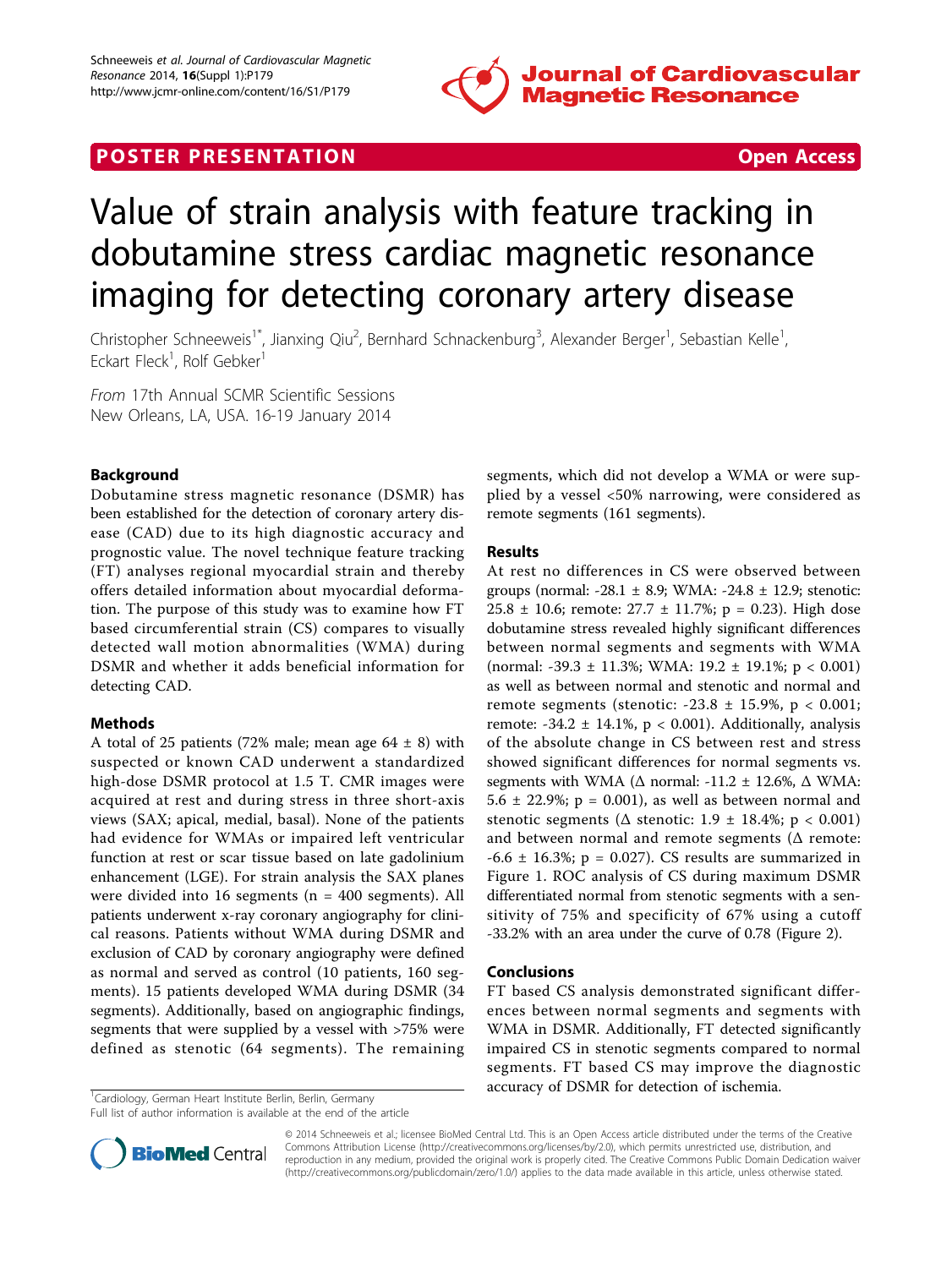

## **POSTER PRESENTATION CONSUMING THE SECOND CONSUMING THE SECOND CONSUMING THE SECOND CONSUMING THE SECOND CONSUMING THE SECOND CONSUMING THE SECOND CONSUMING THE SECOND CONSUMING THE SECOND CONSUMING THE SECOND CONSUMING**

# Value of strain analysis with feature tracking in dobutamine stress cardiac magnetic resonance imaging for detecting coronary artery disease

Christopher Schneeweis<sup>1\*</sup>, Jianxing Qiu<sup>2</sup>, Bernhard Schnackenburg<sup>3</sup>, Alexander Berger<sup>1</sup>, Sebastian Kelle<sup>1</sup> , Eckart Fleck<sup>1</sup>, Rolf Gebker<sup>1</sup>

From 17th Annual SCMR Scientific Sessions New Orleans, LA, USA. 16-19 January 2014

### Background

Dobutamine stress magnetic resonance (DSMR) has been established for the detection of coronary artery disease (CAD) due to its high diagnostic accuracy and prognostic value. The novel technique feature tracking (FT) analyses regional myocardial strain and thereby offers detailed information about myocardial deformation. The purpose of this study was to examine how FT based circumferential strain (CS) compares to visually detected wall motion abnormalities (WMA) during DSMR and whether it adds beneficial information for detecting CAD.

#### Methods

A total of 25 patients (72% male; mean age  $64 \pm 8$ ) with suspected or known CAD underwent a standardized high-dose DSMR protocol at 1.5 T. CMR images were acquired at rest and during stress in three short-axis views (SAX; apical, medial, basal). None of the patients had evidence for WMAs or impaired left ventricular function at rest or scar tissue based on late gadolinium enhancement (LGE). For strain analysis the SAX planes were divided into 16 segments ( $n = 400$  segments). All patients underwent x-ray coronary angiography for clinical reasons. Patients without WMA during DSMR and exclusion of CAD by coronary angiography were defined as normal and served as control (10 patients, 160 segments). 15 patients developed WMA during DSMR (34 segments). Additionally, based on angiographic findings, segments that were supplied by a vessel with >75% were defined as stenotic (64 segments). The remaining

<sup>1</sup>Cardiology, German Heart Institute Berlin, Berlin, Germany

Full list of author information is available at the end of the article

segments, which did not develop a WMA or were supplied by a vessel <50% narrowing, were considered as remote segments (161 segments).

#### Results

At rest no differences in CS were observed between groups (normal: -28.1  $\pm$  8.9; WMA: -24.8  $\pm$  12.9; stenotic: 25.8  $\pm$  10.6; remote: 27.7  $\pm$  11.7%; p = 0.23). High dose dobutamine stress revealed highly significant differences between normal segments and segments with WMA (normal: -39.3  $\pm$  11.3%; WMA: 19.2  $\pm$  19.1%; p < 0.001) as well as between normal and stenotic and normal and remote segments (stenotic:  $-23.8 \pm 15.9\%$ , p < 0.001; remote: -34.2  $\pm$  14.1%, p < 0.001). Additionally, analysis of the absolute change in CS between rest and stress showed significant differences for normal segments vs. segments with WMA ( $\Delta$  normal: -11.2 ± 12.6%,  $\Delta$  WMA: 5.6  $\pm$  22.9%; p = 0.001), as well as between normal and stenotic segments ( $\Delta$  stenotic: 1.9  $\pm$  18.4%; p < 0.001) and between normal and remote segments ( $\Delta$  remote:  $-6.6 \pm 16.3\%$ ; p = 0.027). CS results are summarized in Figure [1.](#page-1-0) ROC analysis of CS during maximum DSMR differentiated normal from stenotic segments with a sensitivity of 75% and specificity of 67% using a cutoff -33.2% with an area under the curve of 0.78 (Figure [2\)](#page-1-0).

#### Conclusions

FT based CS analysis demonstrated significant differences between normal segments and segments with WMA in DSMR. Additionally, FT detected significantly impaired CS in stenotic segments compared to normal segments. FT based CS may improve the diagnostic accuracy of DSMR for detection of ischemia.



© 2014 Schneeweis et al.; licensee BioMed Central Ltd. This is an Open Access article distributed under the terms of the Creative Commons Attribution License [\(http://creativecommons.org/licenses/by/2.0](http://creativecommons.org/licenses/by/2.0)), which permits unrestricted use, distribution, and reproduction in any medium, provided the original work is properly cited. The Creative Commons Public Domain Dedication waiver [\(http://creativecommons.org/publicdomain/zero/1.0/](http://creativecommons.org/publicdomain/zero/1.0/)) applies to the data made available in this article, unless otherwise stated.